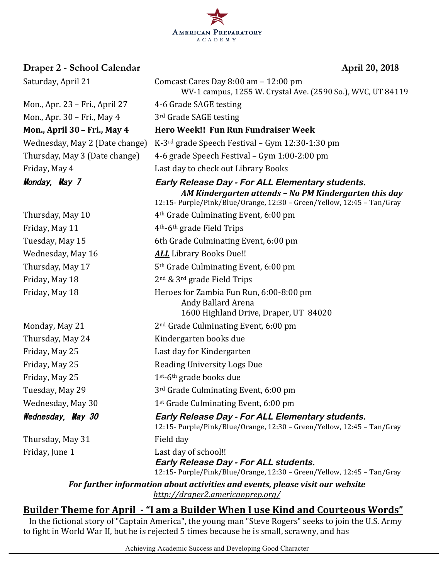

| <u> Draper 2 - School Calendar</u> | <u>April 20, 2018</u>                                                                                                                                                                      |
|------------------------------------|--------------------------------------------------------------------------------------------------------------------------------------------------------------------------------------------|
| Saturday, April 21                 | Comcast Cares Day 8:00 am - 12:00 pm<br>WV-1 campus, 1255 W. Crystal Ave. (2590 So.), WVC, UT 84119                                                                                        |
| Mon., Apr. 23 – Fri., April 27     | 4-6 Grade SAGE testing                                                                                                                                                                     |
| Mon., Apr. 30 - Fri., May 4        | 3rd Grade SAGE testing                                                                                                                                                                     |
| Mon., April 30 - Fri., May 4       | Hero Week!! Fun Run Fundraiser Week                                                                                                                                                        |
| Wednesday, May 2 (Date change)     | K-3 <sup>rd</sup> grade Speech Festival - Gym 12:30-1:30 pm                                                                                                                                |
| Thursday, May 3 (Date change)      | 4-6 grade Speech Festival - Gym 1:00-2:00 pm                                                                                                                                               |
| Friday, May 4                      | Last day to check out Library Books                                                                                                                                                        |
| Monday, May 7                      | <b>Early Release Day - For ALL Elementary students.</b><br>AM Kindergarten attends - No PM Kindergarten this day<br>12:15- Purple/Pink/Blue/Orange, 12:30 - Green/Yellow, 12:45 - Tan/Gray |
| Thursday, May 10                   | 4 <sup>th</sup> Grade Culminating Event, 6:00 pm                                                                                                                                           |
| Friday, May 11                     | 4 <sup>th</sup> -6 <sup>th</sup> grade Field Trips                                                                                                                                         |
| Tuesday, May 15                    | 6th Grade Culminating Event, 6:00 pm                                                                                                                                                       |
| Wednesday, May 16                  | <b>ALL</b> Library Books Due!!                                                                                                                                                             |
| Thursday, May 17                   | 5 <sup>th</sup> Grade Culminating Event, 6:00 pm                                                                                                                                           |
| Friday, May 18                     | $2nd$ & $3rd$ grade Field Trips                                                                                                                                                            |
| Friday, May 18                     | Heroes for Zambia Fun Run, 6:00-8:00 pm<br>Andy Ballard Arena<br>1600 Highland Drive, Draper, UT 84020                                                                                     |
| Monday, May 21                     | 2 <sup>nd</sup> Grade Culminating Event, 6:00 pm                                                                                                                                           |
| Thursday, May 24                   | Kindergarten books due                                                                                                                                                                     |
| Friday, May 25                     | Last day for Kindergarten                                                                                                                                                                  |
| Friday, May 25                     | <b>Reading University Logs Due</b>                                                                                                                                                         |
| Friday, May 25                     | $1st-6th$ grade books due                                                                                                                                                                  |
| Tuesday, May 29                    | 3 <sup>rd</sup> Grade Culminating Event, 6:00 pm                                                                                                                                           |
| Wednesday, May 30                  | 1st Grade Culminating Event, 6:00 pm                                                                                                                                                       |
| Wednesday, May 30                  | <b>Early Release Day - For ALL Elementary students.</b><br>12:15- Purple/Pink/Blue/Orange, 12:30 - Green/Yellow, 12:45 - Tan/Gray                                                          |
| Thursday, May 31                   | Field day                                                                                                                                                                                  |
| Friday, June 1                     | Last day of school!!<br><b>Early Release Day - For ALL students.</b><br>12:15- Purple/Pink/Blue/Orange, 12:30 - Green/Yellow, 12:45 - Tan/Gray                                             |
|                                    | For further information about activities and events, please visit our website                                                                                                              |
|                                    | http://draper2.americanprep.org/                                                                                                                                                           |

<u>Builder Theme for April - "I am a Builder When I use Kind and Courteous Words"</u>

In the fictional story of "Captain America", the young man "Steve Rogers" seeks to join the U.S. Army to fight in World War II, but he is rejected 5 times because he is small, scrawny, and has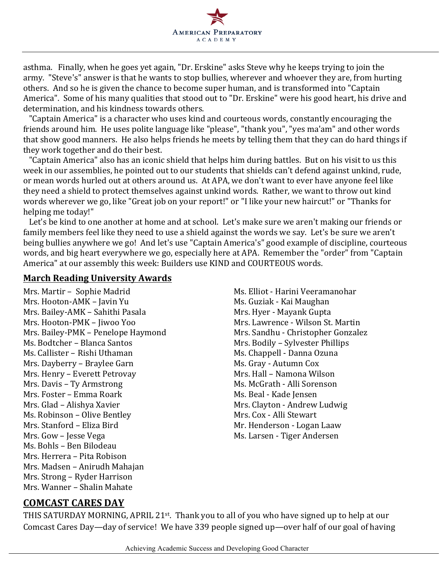

asthma. Finally, when he goes yet again, "Dr. Erskine" asks Steve why he keeps trying to join the army. "Steve's" answer is that he wants to stop bullies, wherever and whoever they are, from hurting others. And so he is given the chance to become super human, and is transformed into "Captain America". Some of his many qualities that stood out to "Dr. Erskine" were his good heart, his drive and determination, and his kindness towards others.

"Captain America" is a character who uses kind and courteous words, constantly encouraging the friends around him. He uses polite language like "please", "thank you", "yes ma'am" and other words that show good manners. He also helps friends he meets by telling them that they can do hard things if they work together and do their best.

"Captain America" also has an iconic shield that helps him during battles. But on his visit to us this week in our assemblies, he pointed out to our students that shields can't defend against unkind, rude, or mean words hurled out at others around us. At APA, we don't want to ever have anyone feel like they need a shield to protect themselves against unkind words. Rather, we want to throw out kind words wherever we go, like "Great job on your report!" or "I like your new haircut!" or "Thanks for helping me today!"

Let's be kind to one another at home and at school. Let's make sure we aren't making our friends or family members feel like they need to use a shield against the words we say. Let's be sure we aren't being bullies anywhere we go! And let's use "Captain America's" good example of discipline, courteous words, and big heart everywhere we go, especially here at APA. Remember the "order" from "Captain America" at our assembly this week: Builders use KIND and COURTEOUS words.

#### **March Reading University Awards**

Mrs. Martir - Sophie Madrid Music Music Ms. Elliot - Harini Veeramanohar Mrs. Hooton-AMK – Javin Yu **Michael Mrs.** Guziak - Kai Maughan Mrs. Bailey-AMK - Sahithi Pasala Mrs. Hyer - Mayank Gupta Mrs. Hooton-PMK – Jiwoo Yoo Mrs. Lawrence - Wilson St. Martin Mrs. Bailey-PMK – Penelope Haymond Mrs. Sandhu - Christopher Gonzalez Ms. Bodtcher – Blanca Santos Mrs. Bodily – Sylvester Phillips Ms. Callister – Rishi Uthaman Ms. Chappell - Danna Ozuna Mrs. Dayberry – Braylee Garn Ms. Gray - Autumn Cox Mrs. Henry – Everett Petrovay Mrs. Hall – Namona Wilson Mrs. Davis – Ty Armstrong and Ms. McGrath - Alli Sorenson Mrs. Foster – Emma Roark Mrs. Beal - Kade Jensen Mrs. Glad – Alishya Xavier **Mrs. Clayton** - Andrew Ludwig Ms. Robinson – Olive Bentley Mrs. Cox - Alli Stewart Mrs. Stanford – Eliza Bird Mr. Henderson - Logan Laaw Mrs. Gow – Jesse Vega de Millette Ms. Larsen - Tiger Andersen Ms. Bohls – Ben Bilodeau Mrs. Herrera - Pita Robison Mrs. Madsen – Anirudh Mahajan Mrs. Strong – Ryder Harrison Mrs. Wanner - Shalin Mahate

#### **COMCAST CARES DAY**

THIS SATURDAY MORNING, APRIL 21<sup>st</sup>. Thank you to all of you who have signed up to help at our Comcast Cares Day—day of service! We have 339 people signed up—over half of our goal of having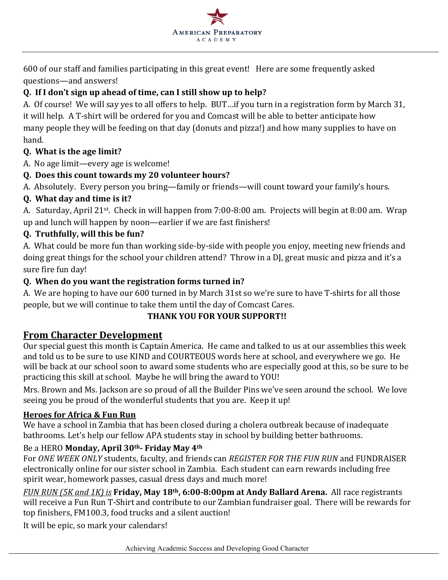

600 of our staff and families participating in this great event! Here are some frequently asked questions—and answers!

### **Q. If I don't sign up ahead of time, can I still show up to help?**

A. Of course! We will say yes to all offers to help. BUT...if you turn in a registration form by March 31, it will help. A T-shirt will be ordered for you and Comcast will be able to better anticipate how many people they will be feeding on that day (donuts and pizza!) and how many supplies to have on hand.

### **Q.** What is the age limit?

A. No age limit—every age is welcome!

### **Q.** Does this count towards my 20 volunteer hours?

A. Absolutely. Every person you bring—family or friends—will count toward your family's hours.

### **Q. What day and time is it?**

A. Saturday, April 21<sup>st</sup>. Check in will happen from 7:00-8:00 am. Projects will begin at 8:00 am. Wrap up and lunch will happen by noon—earlier if we are fast finishers!

### **Q. Truthfully, will this be fun?**

A. What could be more fun than working side-by-side with people you enjoy, meeting new friends and doing great things for the school your children attend? Throw in a DJ, great music and pizza and it's a sure fire fun day!

### **Q. When do you want the registration forms turned in?**

A. We are hoping to have our 600 turned in by March 31st so we're sure to have T-shirts for all those people, but we will continue to take them until the day of Comcast Cares.

## **THANK YOU FOR YOUR SUPPORT!!**

## **From Character Development**

Our special guest this month is Captain America. He came and talked to us at our assemblies this week and told us to be sure to use KIND and COURTEOUS words here at school, and everywhere we go. He will be back at our school soon to award some students who are especially good at this, so be sure to be practicing this skill at school. Maybe he will bring the award to YOU!

Mrs. Brown and Ms. Jackson are so proud of all the Builder Pins we've seen around the school. We love seeing you be proud of the wonderful students that you are. Keep it up!

#### **Heroes for Africa & Fun Run**

We have a school in Zambia that has been closed during a cholera outbreak because of inadequate bathrooms. Let's help our fellow APA students stay in school by building better bathrooms.

#### Be a HERO **Monday, April 30<sup>th</sup>- Friday May 4<sup>th</sup>**

For *ONE WEEK ONLY* students, faculty, and friends can *REGISTER FOR THE FUN RUN* and FUNDRAISER electronically online for our sister school in Zambia. Each student can earn rewards including free spirit wear, homework passes, casual dress days and much more!

*FUN RUN* (5*K* and 1*K*) is **Friday, May 18<sup>th</sup>, 6:00-8:00pm at Andy Ballard Arena.** All race registrants will receive a Fun Run T-Shirt and contribute to our Zambian fundraiser goal. There will be rewards for top finishers, FM100.3, food trucks and a silent auction!

It will be epic, so mark your calendars!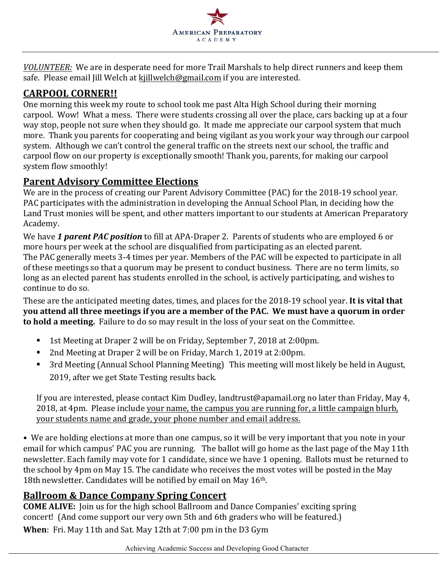

*VOLUNTEER:* We are in desperate need for more Trail Marshals to help direct runners and keep them safe. Please email Jill Welch at kjillwelch@gmail.com if you are interested.

# **CARPOOL CORNER!!**

One morning this week my route to school took me past Alta High School during their morning carpool. Wow! What a mess. There were students crossing all over the place, cars backing up at a four way stop, people not sure when they should go. It made me appreciate our carpool system that much more. Thank you parents for cooperating and being vigilant as you work your way through our carpool system. Although we can't control the general traffic on the streets next our school, the traffic and carpool flow on our property is exceptionally smooth! Thank you, parents, for making our carpool system flow smoothly!

## **Parent Advisory Committee Elections**

We are in the process of creating our Parent Advisory Committee (PAC) for the 2018-19 school year. PAC participates with the administration in developing the Annual School Plan, in deciding how the Land Trust monies will be spent, and other matters important to our students at American Preparatory Academy.

We have 1 *parent PAC position* to fill at APA-Draper 2. Parents of students who are employed 6 or more hours per week at the school are disqualified from participating as an elected parent. The PAC generally meets 3-4 times per year. Members of the PAC will be expected to participate in all of these meetings so that a quorum may be present to conduct business. There are no term limits, so long as an elected parent has students enrolled in the school, is actively participating, and wishes to continue to do so.

These are the anticipated meeting dates, times, and places for the 2018-19 school year. It is vital that **you attend all three meetings if you are a member of the PAC. We must have a quorum in order** to hold a meeting. Failure to do so may result in the loss of your seat on the Committee.

- 1st Meeting at Draper 2 will be on Friday, September 7, 2018 at 2:00pm.
- 2nd Meeting at Draper 2 will be on Friday, March 1, 2019 at 2:00pm.
- 3rd Meeting (Annual School Planning Meeting) This meeting will most likely be held in August, 2019, after we get State Testing results back.

If you are interested, please contact Kim Dudley, landtrust@apamail.org no later than Friday, May 4, 2018, at 4pm. Please include your name, the campus you are running for, a little campaign blurb, your students name and grade, your phone number and email address.

• We are holding elections at more than one campus, so it will be very important that you note in your email for which campus' PAC you are running. The ballot will go home as the last page of the May 11th newsletter. Each family may vote for 1 candidate, since we have 1 opening. Ballots must be returned to the school by 4pm on May 15. The candidate who receives the most votes will be posted in the May 18th newsletter. Candidates will be notified by email on May 16<sup>th</sup>.

# **Ballroom & Dance Company Spring Concert**

**COME ALIVE:** Join us for the high school Ballroom and Dance Companies' exciting spring concert! (And come support our very own 5th and 6th graders who will be featured.) **When**: Fri. May 11th and Sat. May 12th at 7:00 pm in the D3 Gym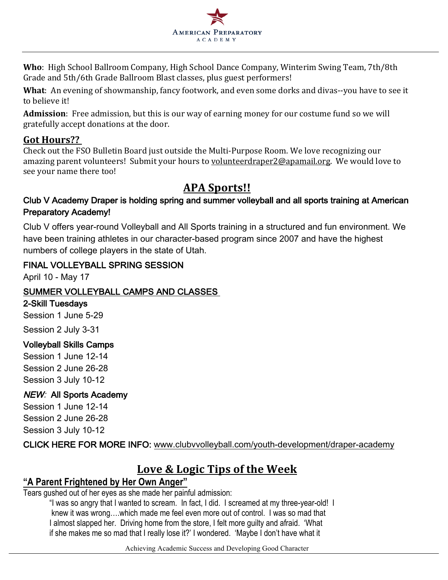

Who: High School Ballroom Company, High School Dance Company, Winterim Swing Team, 7th/8th Grade and 5th/6th Grade Ballroom Blast classes, plus guest performers!

**What**: An evening of showmanship, fancy footwork, and even some dorks and divas--you have to see it to believe it!

**Admission**: Free admission, but this is our way of earning money for our costume fund so we will gratefully accept donations at the door.

# **Got Hours??**

Check out the FSO Bulletin Board just outside the Multi-Purpose Room. We love recognizing our amazing parent volunteers! Submit your hours to volunteerdraper2@apamail.org. We would love to see your name there too!

# **APA Sports!!**

## Club V Academy Draper is holding spring and summer volleyball and all sports training at American Preparatory Academy!

Club V offers year-round Volleyball and All Sports training in a structured and fun environment. We have been training athletes in our character-based program since 2007 and have the highest numbers of college players in the state of Utah.

## FINAL VOLLEYBALL SPRING SESSION

April 10 - May 17

## SUMMER VOLLEYBALL CAMPS AND CLASSES

#### 2-Skill Tuesdays

Session 1 June 5-29

Session 2 July 3-31

## Volleyball Skills Camps

Session 1 June 12-14 Session 2 June 26-28 Session 3 July 10-12

## **NEW: All Sports Academy**

Session 1 June 12-14 Session 2 June 26-28 Session 3 July 10-12

CLICK HERE FOR MORE INFO: www.clubvvolleyball.com/youth-development/draper-academy

# Love & Logic Tips of the Week

# **"A Parent Frightened by Her Own Anger"**

Tears gushed out of her eyes as she made her painful admission:

"I was so angry that I wanted to scream. In fact, I did. I screamed at my three-year-old! I knew it was wrong….which made me feel even more out of control. I was so mad that I almost slapped her. Driving home from the store, I felt more guilty and afraid. 'What if she makes me so mad that I really lose it?' I wondered. 'Maybe I don't have what it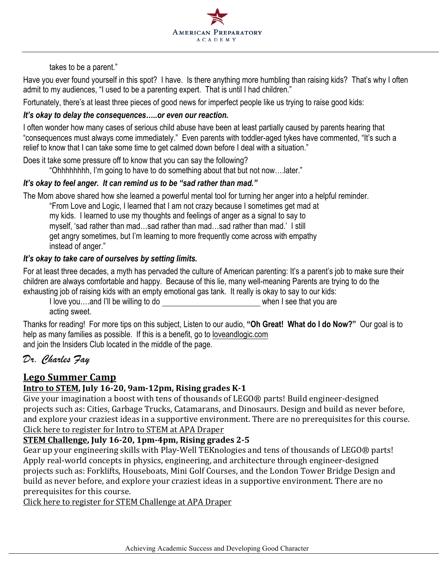

takes to be a parent."

Have you ever found yourself in this spot? I have. Is there anything more humbling than raising kids? That's why I often admit to my audiences, "I used to be a parenting expert. That is until I had children."

Fortunately, there's at least three pieces of good news for imperfect people like us trying to raise good kids:

#### *It's okay to delay the consequences…..or even our reaction.*

I often wonder how many cases of serious child abuse have been at least partially caused by parents hearing that "consequences must always come immediately." Even parents with toddler-aged tykes have commented, "It's such a relief to know that I can take some time to get calmed down before I deal with a situation."

Does it take some pressure off to know that you can say the following?

"Ohhhhhhhh, I'm going to have to do something about that but not now….later."

#### *It's okay to feel anger. It can remind us to be "sad rather than mad."*

The Mom above shared how she learned a powerful mental tool for turning her anger into a helpful reminder.

"From Love and Logic, I learned that I am not crazy because I sometimes get mad at my kids. I learned to use my thoughts and feelings of anger as a signal to say to myself, 'sad rather than mad…sad rather than mad…sad rather than mad.' I still get angry sometimes, but I'm learning to more frequently come across with empathy instead of anger."

#### *It's okay to take care of ourselves by setting limits.*

For at least three decades, a myth has pervaded the culture of American parenting: It's a parent's job to make sure their children are always comfortable and happy. Because of this lie, many well-meaning Parents are trying to do the exhausting job of raising kids with an empty emotional gas tank. It really is okay to say to our kids:

I love you...and I'll be willing to do when I see that you are acting sweet.

Thanks for reading! For more tips on this subject, Listen to our audio, **"Oh Great! What do I do Now?"** Our goal is to help as many families as possible. If this is a benefit, go to loveandlogic.com and join the Insiders Club located in the middle of the page.

# *Dr. Charles Fay*

## Lego Summer Camp

#### **Intro to STEM, July 16-20, 9am-12pm, Rising grades K-1**

Give your imagination a boost with tens of thousands of LEGO® parts! Build engineer-designed projects such as: Cities, Garbage Trucks, Catamarans, and Dinosaurs. Design and build as never before, and explore your craziest ideas in a supportive environment. There are no prerequisites for this course. Click here to register for Intro to STEM at APA Draper

#### **STEM Challenge, July 16-20, 1pm-4pm, Rising grades 2-5**

Gear up your engineering skills with Play-Well TEKnologies and tens of thousands of LEGO® parts! Apply real-world concepts in physics, engineering, and architecture through engineer-designed projects such as: Forklifts, Houseboats, Mini Golf Courses, and the London Tower Bridge Design and build as never before, and explore your craziest ideas in a supportive environment. There are no prerequisites for this course.

Click here to register for STEM Challenge at APA Draper